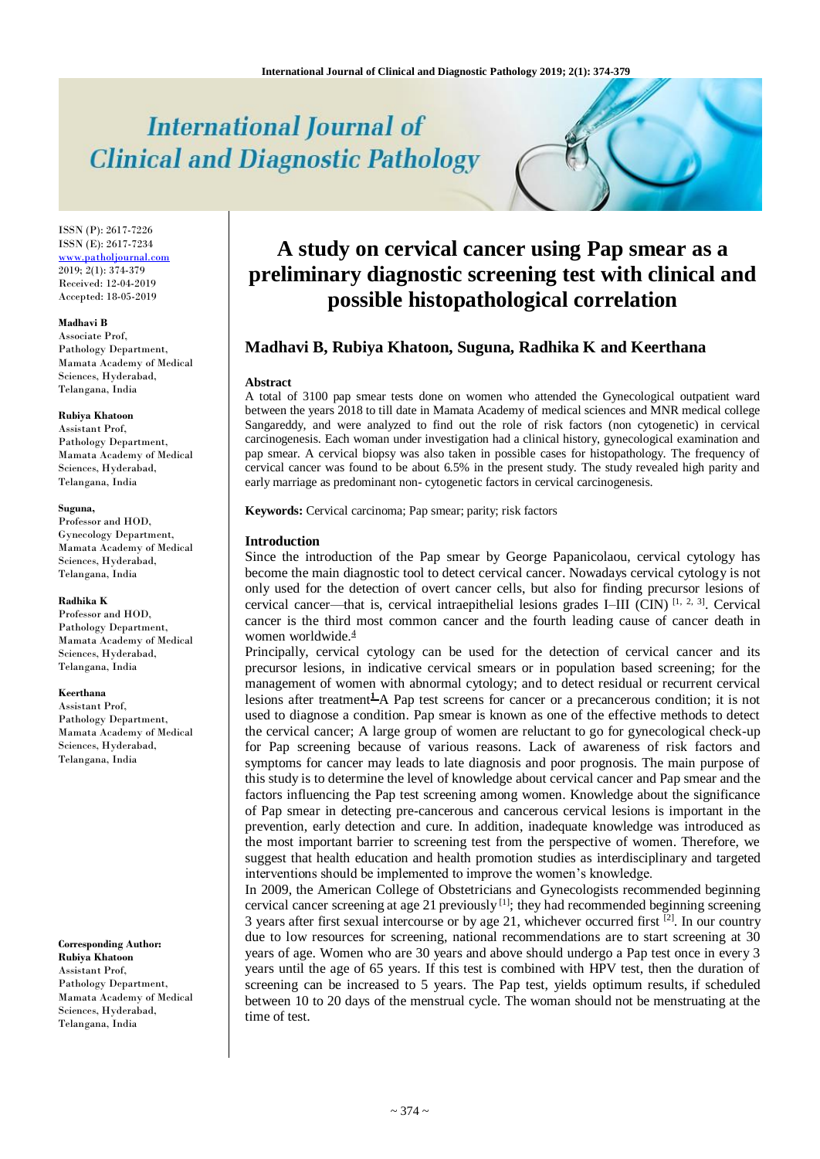# **International Journal of Clinical and Diagnostic Pathology**

ISSN (P): 2617-7226 ISSN (E): 2617-7234 [www.patholjournal.com](http://www.patholjournal.com/) 2019; 2(1): 374-379 Received: 12-04-2019 Accepted: 18-05-2019

#### **Madhavi B**

Associate Prof, Pathology Department, Mamata Academy of Medical Sciences, Hyderabad, Telangana, India

# **Rubiya Khatoon**

Assistant Prof, Pathology Department, Mamata Academy of Medical Sciences, Hyderabad, Telangana, India

#### **Suguna,**

Professor and HOD, Gynecology Department, Mamata Academy of Medical Sciences, Hyderabad, Telangana, India

#### **Radhika K**

Professor and HOD, Pathology Department, Mamata Academy of Medical Sciences, Hyderabad, Telangana, India

#### **Keerthana**

Assistant Prof, Pathology Department, Mamata Academy of Medical Sciences, Hyderabad, Telangana, India

**Corresponding Author: Rubiya Khatoon**  Assistant Prof, Pathology Department, Mamata Academy of Medical Sciences, Hyderabad, Telangana, India

# **A study on cervical cancer using Pap smear as a preliminary diagnostic screening test with clinical and possible histopathological correlation**

# **Madhavi B, Rubiya Khatoon, Suguna, Radhika K and Keerthana**

#### **Abstract**

A total of 3100 pap smear tests done on women who attended the Gynecological outpatient ward between the years 2018 to till date in Mamata Academy of medical sciences and MNR medical college Sangareddy, and were analyzed to find out the role of risk factors (non cytogenetic) in cervical carcinogenesis. Each woman under investigation had a clinical history, gynecological examination and pap smear. A cervical biopsy was also taken in possible cases for histopathology. The frequency of cervical cancer was found to be about 6.5% in the present study. The study revealed high parity and early marriage as predominant non- cytogenetic factors in cervical carcinogenesis.

**Keywords:** Cervical carcinoma; Pap smear; parity; risk factors

### **Introduction**

Since the introduction of the Pap smear by George Papanicolaou, cervical cytology has become the main diagnostic tool to detect cervical cancer. Nowadays cervical cytology is not only used for the detection of overt cancer cells, but also for finding precursor lesions of cervical cancer—that is, cervical intraepithelial lesions grades I-III (CIN) [1, 2, 3]. Cervical cancer is the third most common cancer and the fourth leading cause of cancer death in women worldwide. $\frac{4}{3}$ 

Principally, cervical cytology can be used for the detection of cervical cancer and its precursor lesions, in indicative cervical smears or in population based screening; for the management of women with abnormal cytology; and to detect residual or recurrent cervical lesions after treatment<sup>1</sup>A Pap test screens for cancer or a precancerous condition; it is not used to diagnose a condition. Pap smear is known as one of the effective methods to detect the cervical cancer; A large group of women are reluctant to go for gynecological check-up for Pap screening because of various reasons. Lack of awareness of risk factors and symptoms for cancer may leads to late diagnosis and poor prognosis. The main purpose of this study is to determine the level of knowledge about cervical cancer and Pap smear and the factors influencing the Pap test screening among women. Knowledge about the significance of Pap smear in detecting pre-cancerous and cancerous cervical lesions is important in the prevention, early detection and cure. In addition, inadequate knowledge was introduced as the most important barrier to screening test from the perspective of women. Therefore, we suggest that health education and health promotion studies as interdisciplinary and targeted interventions should be implemented to improve the women's knowledge.

In 2009, the American College of Obstetricians and Gynecologists recommended beginning cervical cancer screening at age 21 previously  $[1]$ ; they had recommended beginning screening 3 years after first sexual intercourse or by age 21, whichever occurred first  $[2]$ . In our country due to low resources for screening, national recommendations are to start screening at 30 years of age. Women who are 30 years and above should undergo a Pap test once in every 3 years until the age of 65 years. If this test is combined with HPV test, then the duration of screening can be increased to 5 years. The Pap test, yields optimum results, if scheduled between 10 to 20 days of the menstrual cycle. The woman should not be menstruating at the time of test.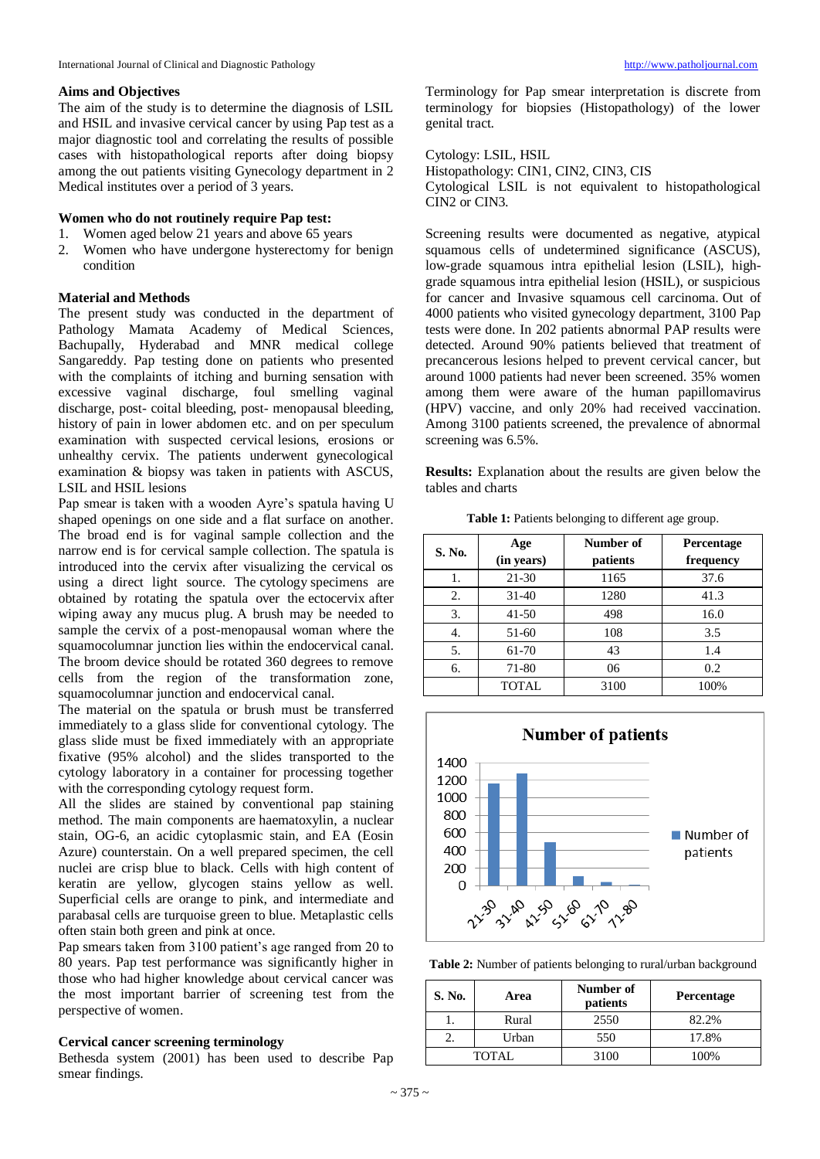## **Aims and Objectives**

The aim of the study is to determine the diagnosis of LSIL and HSIL and invasive cervical cancer by using Pap test as a major diagnostic tool and correlating the results of possible cases with histopathological reports after doing biopsy among the out patients visiting Gynecology department in 2 Medical institutes over a period of 3 years.

# **Women who do not routinely require Pap test:**

- 1. Women aged below 21 years and above 65 years
- 2. Women who have undergone hysterectomy for benign condition

# **Material and Methods**

The present study was conducted in the department of Pathology Mamata Academy of Medical Sciences, Bachupally, Hyderabad and MNR medical college Sangareddy. Pap testing done on patients who presented with the complaints of itching and burning sensation with excessive vaginal discharge, foul smelling vaginal discharge, post- coital bleeding, post- menopausal bleeding, history of pain in lower abdomen etc. and on per speculum examination with suspected cervical lesions, erosions or unhealthy cervix. The patients underwent gynecological examination & biopsy was taken in patients with ASCUS, LSIL and HSIL lesions

Pap smear is taken with a wooden Ayre's spatula having U shaped openings on one side and a flat surface on another. The broad end is for vaginal sample collection and the narrow end is for cervical sample collection. The spatula is introduced into the cervix after visualizing the cervical os using a direct light source. The cytology specimens are obtained by rotating the spatula over the ectocervix after wiping away any mucus plug. A brush may be needed to sample the cervix of a post-menopausal woman where the squamocolumnar junction lies within the endocervical canal. The broom device should be rotated 360 degrees to remove cells from the region of the transformation zone, squamocolumnar junction and endocervical canal.

The material on the spatula or brush must be transferred immediately to a glass slide for conventional cytology. The glass slide must be fixed immediately with an appropriate fixative (95% alcohol) and the slides transported to the cytology laboratory in a container for processing together with the corresponding cytology request form.

All the slides are stained by conventional pap staining method. The main components are haematoxylin, a nuclear stain, OG-6, an acidic cytoplasmic stain, and EA (Eosin Azure) counterstain. On a well prepared specimen, the cell nuclei are crisp blue to black. Cells with high content of keratin are yellow, glycogen stains yellow as well. Superficial cells are orange to pink, and intermediate and parabasal cells are turquoise green to blue. Metaplastic cells often stain both green and pink at once.

Pap smears taken from 3100 patient's age ranged from 20 to 80 years. Pap test performance was significantly higher in those who had higher knowledge about cervical cancer was the most important barrier of screening test from the perspective of women.

## **Cervical cancer screening terminology**

Bethesda system (2001) has been used to describe Pap smear findings.

Terminology for Pap smear interpretation is discrete from terminology for biopsies (Histopathology) of the lower genital tract.

Cytology: LSIL, HSIL

Histopathology: CIN1, CIN2, CIN3, CIS Cytological LSIL is not equivalent to histopathological CIN2 or CIN3.

Screening results were documented as negative, atypical squamous cells of undetermined significance (ASCUS), low-grade squamous intra epithelial lesion (LSIL), highgrade squamous intra epithelial lesion (HSIL), or suspicious for cancer and Invasive squamous cell carcinoma. Out of 4000 patients who visited gynecology department, 3100 Pap tests were done. In 202 patients abnormal PAP results were detected. Around 90% patients believed that treatment of precancerous lesions helped to prevent cervical cancer, but around 1000 patients had never been screened. 35% women among them were aware of the human papillomavirus (HPV) vaccine, and only 20% had received vaccination. Among 3100 patients screened, the prevalence of abnormal screening was 6.5%.

**Results:** Explanation about the results are given below the tables and charts

| Table 1: Patients belonging to different age group. |  |
|-----------------------------------------------------|--|
|-----------------------------------------------------|--|

| S. No. | Age<br>(in years) | Number of<br>patients | <b>Percentage</b><br>frequency |
|--------|-------------------|-----------------------|--------------------------------|
|        | 21-30             | 1165                  | 37.6                           |
| 2.     | $31-40$           | 1280                  | 41.3                           |
| 3.     | $41 - 50$         | 498                   | 16.0                           |
| 4.     | 51-60             | 108                   | 3.5                            |
| 5.     | 61-70             | 43                    | 1.4                            |
| 6.     | 71-80             | 06                    | 0.2                            |
|        | <b>TOTAL</b>      | 3100                  | 100%                           |



**Table 2:** Number of patients belonging to rural/urban background

| S. No. | Area  | Number of<br>patients | <b>Percentage</b> |
|--------|-------|-----------------------|-------------------|
|        | Rural | 2550                  | 82.2%             |
|        | Urban | 550                   | 17.8%             |
|        | TOTAL | 3100                  | 100%              |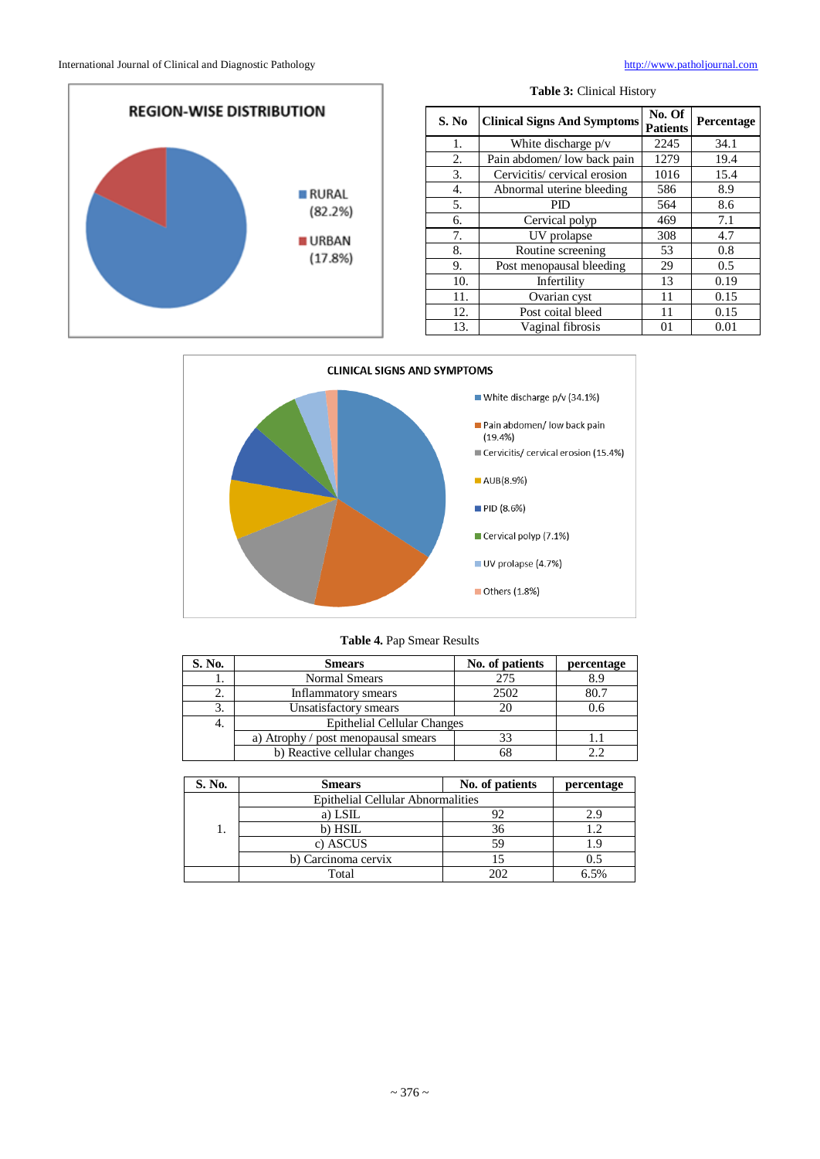

| S. No            | <b>Clinical Signs And Symptoms</b> | No. Of<br><b>Patients</b> | Percentage |
|------------------|------------------------------------|---------------------------|------------|
| 1.               | White discharge $p/v$              | 2245                      | 34.1       |
| 2.               | Pain abdomen/ low back pain        | 1279                      | 19.4       |
| 3.               | Cervicitis/ cervical erosion       | 1016                      | 15.4       |
| $\overline{4}$ . | Abnormal uterine bleeding          | 586                       | 8.9        |
| 5.               | PID                                | 564                       | 8.6        |
| 6.               | Cervical polyp                     | 469                       | 7.1        |
| 7.               | UV prolapse                        | 308                       | 4.7        |
| 8.               | Routine screening                  | 53                        | 0.8        |
| 9.               | Post menopausal bleeding           | 29                        | 0.5        |
| 10.              | Infertility                        | 13                        | 0.19       |
| 11.              | Ovarian cyst                       | 11                        | 0.15       |
| 12.              | Post coital bleed                  | 11                        | 0.15       |
| 13.              | Vaginal fibrosis                   | 01                        | 0.01       |

**Table 3:** Clinical History



# **Table 4.** Pap Smear Results

| S. No. | <b>Smears</b>                       | No. of patients | percentage |
|--------|-------------------------------------|-----------------|------------|
|        | Normal Smears                       | 275             | 8.9        |
| z.     | Inflammatory smears                 | 2502            | 80.7       |
| Ć.     | Unsatisfactory smears               | 20              | 0.6        |
| 4.     | <b>Epithelial Cellular Changes</b>  |                 |            |
|        | a) Atrophy / post menopausal smears | 33              |            |
|        | b) Reactive cellular changes        |                 |            |

| S. No. | <b>Smears</b>                            | No. of patients | percentage |
|--------|------------------------------------------|-----------------|------------|
|        | <b>Epithelial Cellular Abnormalities</b> |                 |            |
|        | a) LSIL                                  |                 | 2.9        |
| ı.     | b) HSIL                                  | 36              | 1.2        |
|        | c) ASCUS                                 | 59              |            |
|        | b) Carcinoma cervix                      |                 | 0.5        |
|        | Total                                    |                 | ና 5%       |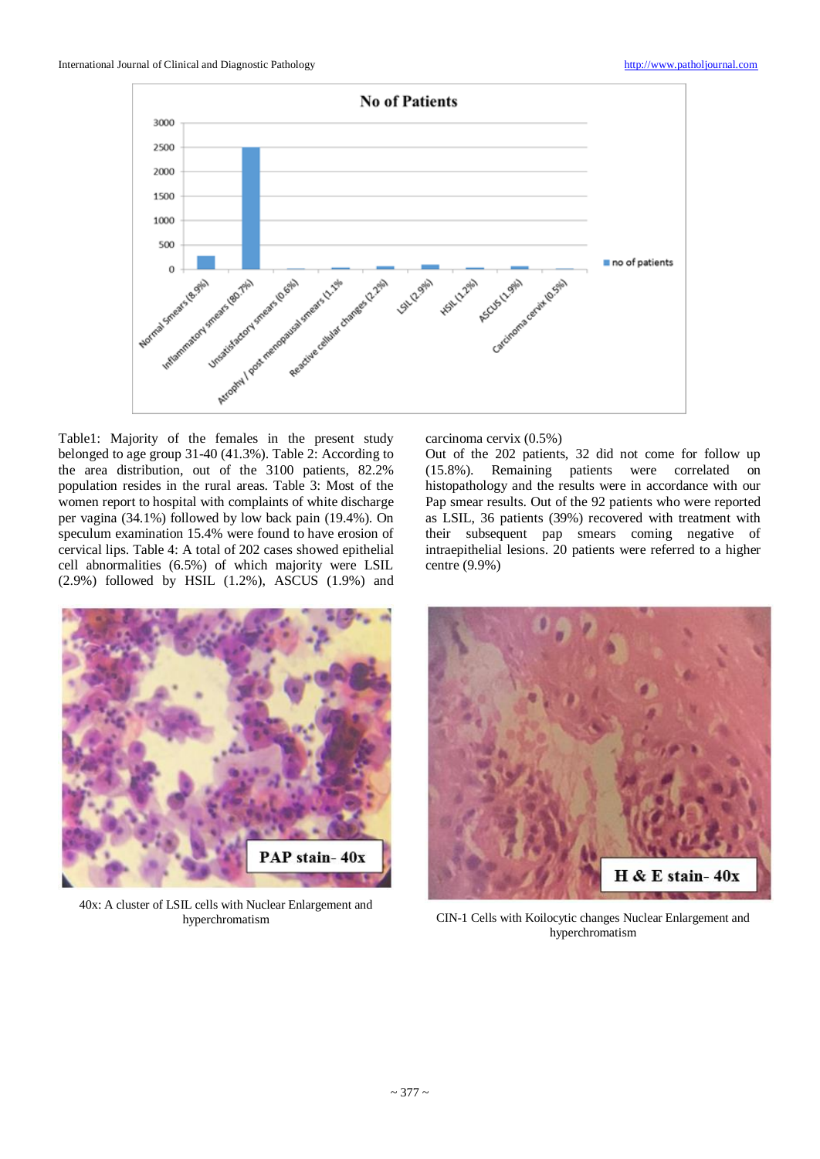

Table1: Majority of the females in the present study belonged to age group 31-40 (41.3%). Table 2: According to the area distribution, out of the 3100 patients, 82.2% population resides in the rural areas. Table 3: Most of the women report to hospital with complaints of white discharge per vagina (34.1%) followed by low back pain (19.4%). On speculum examination 15.4% were found to have erosion of cervical lips. Table 4: A total of 202 cases showed epithelial cell abnormalities (6.5%) of which majority were LSIL (2.9%) followed by HSIL (1.2%), ASCUS (1.9%) and



40x: A cluster of LSIL cells with Nuclear Enlargement and

carcinoma cervix (0.5%)

Out of the 202 patients, 32 did not come for follow up (15.8%). Remaining patients were correlated on histopathology and the results were in accordance with our Pap smear results. Out of the 92 patients who were reported as LSIL, 36 patients (39%) recovered with treatment with their subsequent pap smears coming negative of intraepithelial lesions. 20 patients were referred to a higher centre (9.9%)



hyperchromatism CIN-1 Cells with Koilocytic changes Nuclear Enlargement and hyperchromatism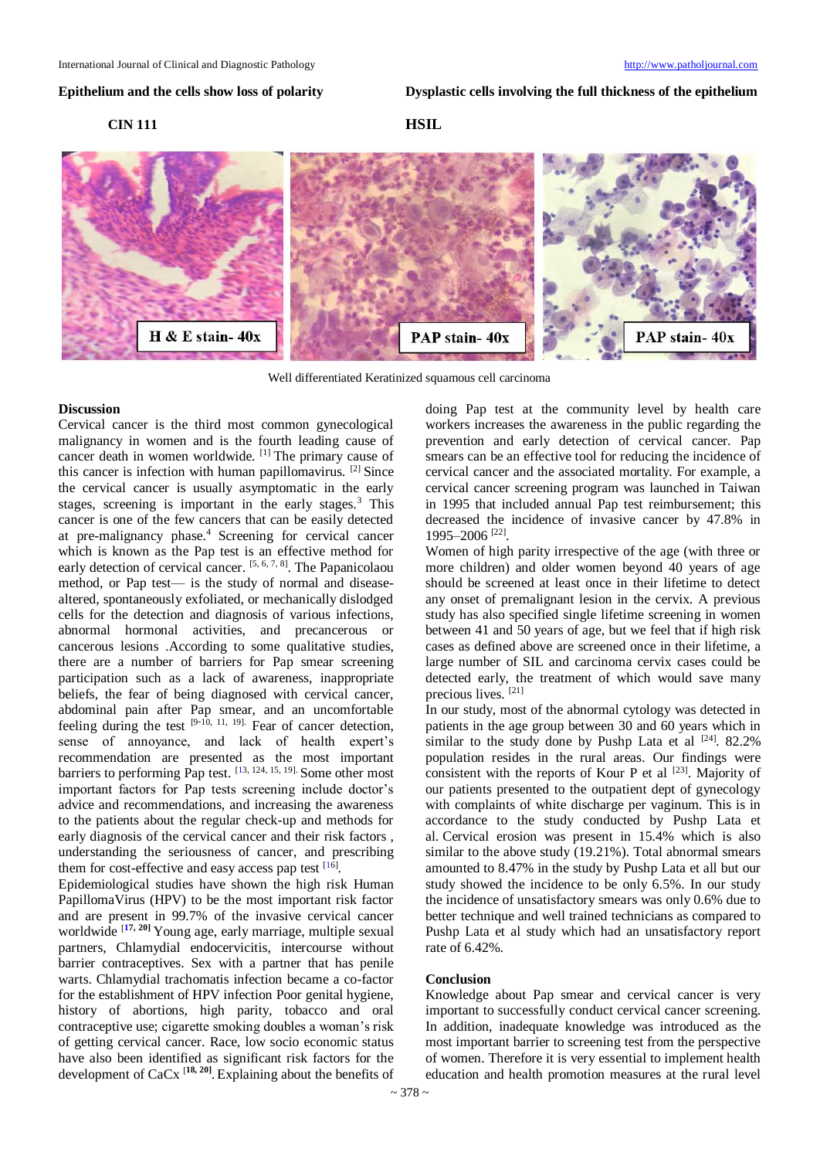**Epithelium and the cells show loss of polarity Dysplastic cells involving the full thickness of the epithelium**

### **CIN 111 HSIL**



Well differentiated Keratinized squamous cell carcinoma

### **Discussion**

Cervical cancer is the third most common gynecological malignancy in women and is the fourth leading cause of cancer death in women worldwide. [1] The primary cause of this cancer is infection with human papillomavirus. [2] Since the cervical cancer is usually asymptomatic in the early stages, screening is important in the early stages.<sup>3</sup> This cancer is one of the few cancers that can be easily detected at pre-malignancy phase.<sup>4</sup> Screening for cervical cancer which is known as the Pap test is an effective method for early detection of cervical cancer. <sup>[5, 6, 7, 8]</sup>. The Papanicolaou method, or Pap test— is the study of normal and diseasealtered, spontaneously exfoliated, or mechanically dislodged cells for the detection and diagnosis of various infections, abnormal hormonal activities, and precancerous or cancerous lesions .According to some qualitative studies, there are a number of barriers for Pap smear screening participation such as a lack of awareness, inappropriate beliefs, the fear of being diagnosed with cervical cancer, abdominal pain after Pap smear, and an uncomfortable feeling during the test [9**-**10, 11, 19]. Fear of cancer detection, sense of annoyance, and lack of health expert's recommendation are presented as the most important barriers to performing Pap test. [\[13](https://www.ncbi.nlm.nih.gov/pmc/articles/PMC5385241/#ref16), 124, 15, 19]. Some other most important factors for Pap tests screening include doctor's advice and recommendations, and increasing the awareness to the patients about the regular check-up and methods for early diagnosis of the cervical cancer and their risk factors , understanding the seriousness of cancer, and prescribing them for cost-effective and easy access pap test [\[16](https://www.ncbi.nlm.nih.gov/pmc/articles/PMC5385241/#ref22)].

Epidemiological studies have shown the high risk Human PapillomaVirus (HPV) to be the most important risk factor and are present in 99.7% of the invasive cervical cancer worldwide [**[17](https://www.ncbi.nlm.nih.gov/pmc/articles/PMC5385241/#ref22), 20]** Young age, early marriage, multiple sexual partners, Chlamydial endocervicitis, intercourse without barrier contraceptives. Sex with a partner that has penile warts. Chlamydial trachomatis infection became a co-factor for the establishment of HPV infection Poor genital hygiene, history of abortions, high parity, tobacco and oral contraceptive use; cigarette smoking doubles a woman's risk of getting cervical cancer. Race, low socio economic status have also been identified as significant risk factors for the development of CaCx [**18, 20]** . Explaining about the benefits of

doing Pap test at the community level by health care workers increases the awareness in the public regarding the prevention and early detection of cervical cancer. Pap smears can be an effective tool for reducing the incidence of cervical cancer and the associated mortality. For example, a cervical cancer screening program was launched in Taiwan in 1995 that included annual Pap test reimbursement; this decreased the incidence of invasive cancer by 47.8% in 1995–2006 [22] .

Women of high parity irrespective of the age (with three or more children) and older women beyond 40 years of age should be screened at least once in their lifetime to detect any onset of premalignant lesion in the cervix. A previous study has also specified single lifetime screening in women between 41 and 50 years of age, but we feel that if high risk cases as defined above are screened once in their lifetime, a large number of SIL and carcinoma cervix cases could be detected early, the treatment of which would save many precious lives. [21]

In our study, most of the abnormal cytology was detected in patients in the age group between 30 and 60 years which in similar to the study done by Pushp Lata et al  $[24]$ . 82.2% population resides in the rural areas. Our findings were consistent with the reports of Kour P et al  $^{[23]}$ . Majority of our patients presented to the outpatient dept of gynecology with complaints of white discharge per vaginum. This is in accordance to the study conducted by Pushp Lata et al. Cervical erosion was present in 15.4% which is also similar to the above study (19.21%). Total abnormal smears amounted to 8.47% in the study by Pushp Lata et all but our study showed the incidence to be only 6.5%. In our study the incidence of unsatisfactory smears was only 0.6% due to better technique and well trained technicians as compared to Pushp Lata et al study which had an unsatisfactory report rate of 6.42%.

#### **Conclusion**

Knowledge about Pap smear and cervical cancer is very important to successfully conduct cervical cancer screening. In addition, inadequate knowledge was introduced as the most important barrier to screening test from the perspective of women. Therefore it is very essential to implement health education and health promotion measures at the rural level